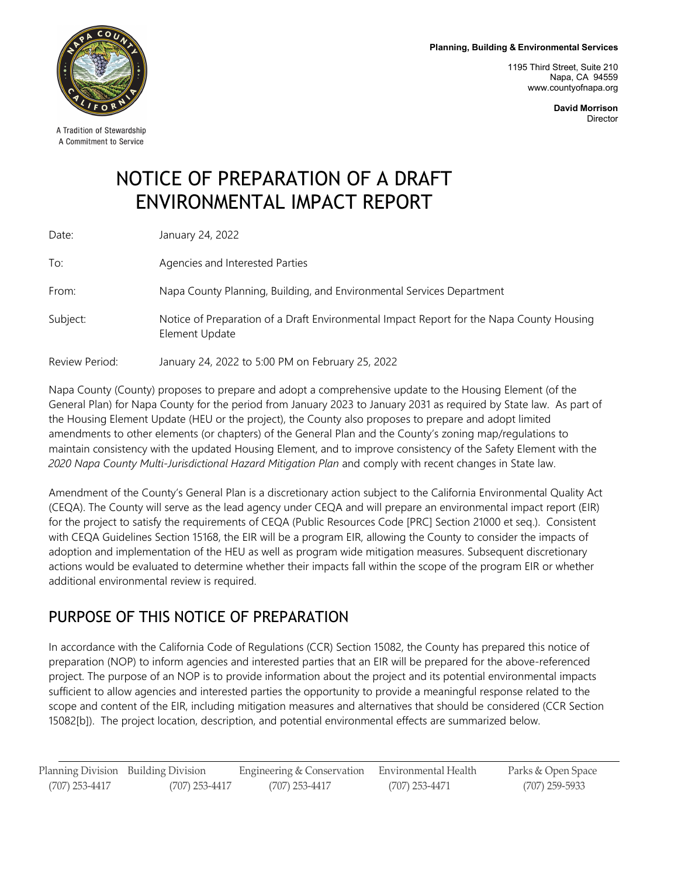**Planning, Building & Environmental Services**

1195 Third Street, Suite 210 Napa, CA 94559 [www.countyofnapa.org](http://www.countyofnapa.org/)

> **David Morrison** Director

# NOTICE OF PREPARATION OF A DRAFT ENVIRONMENTAL IMPACT REPORT

| Date:          | January 24, 2022                                                                                           |
|----------------|------------------------------------------------------------------------------------------------------------|
| To:            | Agencies and Interested Parties                                                                            |
| From:          | Napa County Planning, Building, and Environmental Services Department                                      |
| Subject:       | Notice of Preparation of a Draft Environmental Impact Report for the Napa County Housing<br>Element Update |
| Review Period: | January 24, 2022 to 5:00 PM on February 25, 2022                                                           |

Napa County (County) proposes to prepare and adopt a comprehensive update to the Housing Element (of the General Plan) for Napa County for the period from January 2023 to January 2031 as required by State law. As part of the Housing Element Update (HEU or the project), the County also proposes to prepare and adopt limited amendments to other elements (or chapters) of the General Plan and the County's zoning map/regulations to maintain consistency with the updated Housing Element, and to improve consistency of the Safety Element with the *2020 Napa County Multi-Jurisdictional Hazard Mitigation Plan* and comply with recent changes in State law.

Amendment of the County's General Plan is a discretionary action subject to the California Environmental Quality Act (CEQA). The County will serve as the lead agency under CEQA and will prepare an environmental impact report (EIR) for the project to satisfy the requirements of CEQA (Public Resources Code [PRC] Section 21000 et seq.). Consistent with CEQA Guidelines Section 15168, the EIR will be a program EIR, allowing the County to consider the impacts of adoption and implementation of the HEU as well as program wide mitigation measures. Subsequent discretionary actions would be evaluated to determine whether their impacts fall within the scope of the program EIR or whether additional environmental review is required.

## PURPOSE OF THIS NOTICE OF PREPARATION

In accordance with the California Code of Regulations (CCR) Section 15082, the County has prepared this notice of preparation (NOP) to inform agencies and interested parties that an EIR will be prepared for the above-referenced project. The purpose of an NOP is to provide information about the project and its potential environmental impacts sufficient to allow agencies and interested parties the opportunity to provide a meaningful response related to the scope and content of the EIR, including mitigation measures and alternatives that should be considered (CCR Section 15082[b]). The project location, description, and potential environmental effects are summarized below.

Planning Division Building Division Engineering & Conservation Environmental Health Parks & Open Space (707) 253-4417 (707) 253-4417 (707) 253-4417 (707) 253-4471 (707) 259-5933



A Tradition of Stewardship A Commitment to Service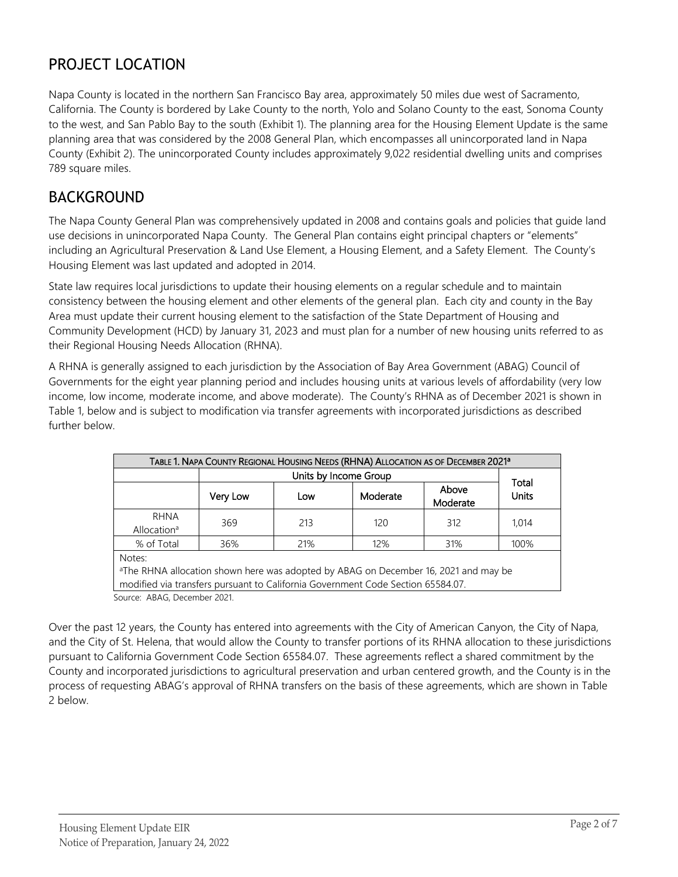# PROJECT LOCATION

Napa County is located in the northern San Francisco Bay area, approximately 50 miles due west of Sacramento, California. The County is bordered by Lake County to the north, Yolo and Solano County to the east, Sonoma County to the west, and San Pablo Bay to the south (Exhibit 1). The planning area for the Housing Element Update is the same planning area that was considered by the 2008 General Plan, which encompasses all unincorporated land in Napa County (Exhibit 2). The unincorporated County includes approximately 9,022 residential dwelling units and comprises 789 square miles.

## BACKGROUND

The Napa County General Plan was comprehensively updated in 2008 and contains goals and policies that guide land use decisions in unincorporated Napa County. The General Plan contains eight principal chapters or "elements" including an Agricultural Preservation & Land Use Element, a Housing Element, and a Safety Element. The County's Housing Element was last updated and adopted in 2014.

State law requires local jurisdictions to update their housing elements on a regular schedule and to maintain consistency between the housing element and other elements of the general plan. Each city and county in the Bay Area must update their current housing element to the satisfaction of the State Department of Housing and Community Development (HCD) by January 31, 2023 and must plan for a number of new housing units referred to as their Regional Housing Needs Allocation (RHNA).

A RHNA is generally assigned to each jurisdiction by the Association of Bay Area Government (ABAG) Council of Governments for the eight year planning period and includes housing units at various levels of affordability (very low income, low income, moderate income, and above moderate). The County's RHNA as of December 2021 is shown in Table 1, below and is subject to modification via transfer agreements with incorporated jurisdictions as described further below.

| TABLE 1. NAPA COUNTY REGIONAL HOUSING NEEDS (RHNA) ALLOCATION AS OF DECEMBER 2021 <sup>a</sup> |          |       |                                                                                                                                                                                    |                   |              |
|------------------------------------------------------------------------------------------------|----------|-------|------------------------------------------------------------------------------------------------------------------------------------------------------------------------------------|-------------------|--------------|
|                                                                                                |          | Total |                                                                                                                                                                                    |                   |              |
|                                                                                                | Very Low | Low   | Moderate                                                                                                                                                                           | Above<br>Moderate | <b>Units</b> |
| <b>RHNA</b><br>Allocation <sup>a</sup>                                                         | 369      | 213   | 120                                                                                                                                                                                | 312               | 1.014        |
| % of Total                                                                                     | 36%      | 21%   | 12%                                                                                                                                                                                | 31%               | 100%         |
| Notes:                                                                                         |          |       | <sup>a</sup> The RHNA allocation shown here was adopted by ABAG on December 16, 2021 and may be<br>modified via transfers pursuant to California Government Code Section 65584.07. |                   |              |

Source: ABAG, December 2021.

Over the past 12 years, the County has entered into agreements with the City of American Canyon, the City of Napa, and the City of St. Helena, that would allow the County to transfer portions of its RHNA allocation to these jurisdictions pursuant to California Government Code Section 65584.07. These agreements reflect a shared commitment by the County and incorporated jurisdictions to agricultural preservation and urban centered growth, and the County is in the process of requesting ABAG's approval of RHNA transfers on the basis of these agreements, which are shown in Table 2 below.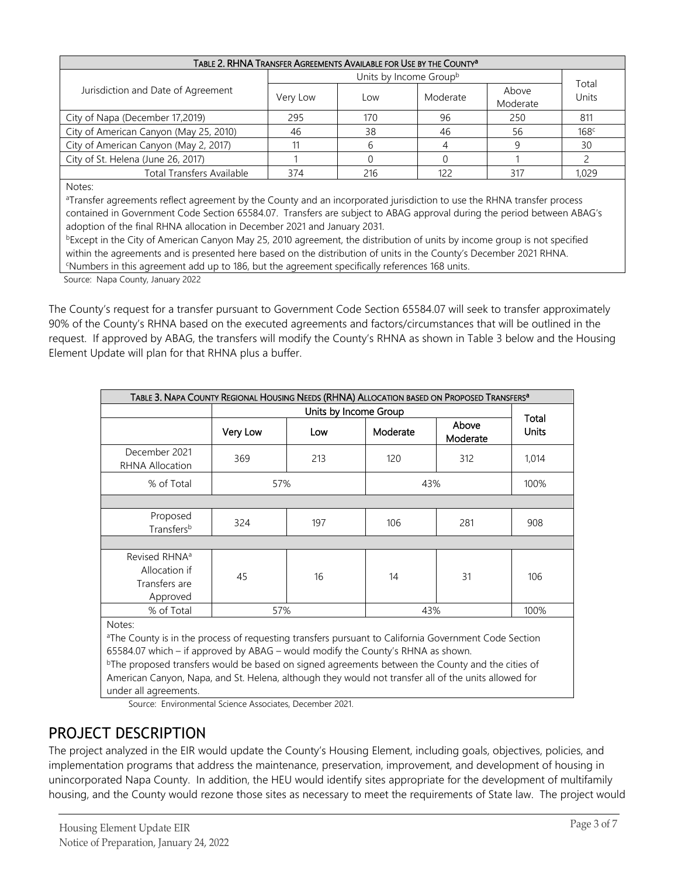| TABLE 2. RHNA TRANSFER AGREEMENTS AVAILABLE FOR USE BY THE COUNTY <sup>a</sup> |                        |     |          |                   |                  |
|--------------------------------------------------------------------------------|------------------------|-----|----------|-------------------|------------------|
|                                                                                | Units by Income Groupb |     |          |                   | Total            |
| Jurisdiction and Date of Agreement                                             | Very Low               | Low | Moderate | Above<br>Moderate | Units            |
| City of Napa (December 17,2019)                                                | 295                    | 170 | 96       | 250               | 811              |
| City of American Canyon (May 25, 2010)                                         | 46                     | 38  | 46       | 56                | 168 <sup>c</sup> |
| City of American Canyon (May 2, 2017)                                          |                        |     |          | 9                 | 30               |
| City of St. Helena (June 26, 2017)                                             |                        |     |          |                   |                  |
| <b>Total Transfers Available</b>                                               | 374                    | 216 | 122      | 317               | 1.029            |
| Notor:                                                                         |                        |     |          |                   |                  |

Notes:

aTransfer agreements reflect agreement by the County and an incorporated jurisdiction to use the RHNA transfer process contained in Government Code Section 65584.07. Transfers are subject to ABAG approval during the period between ABAG's adoption of the final RHNA allocation in December 2021 and January 2031.

 $bE$ xcept in the City of American Canyon May 25, 2010 agreement, the distribution of units by income group is not specified within the agreements and is presented here based on the distribution of units in the County's December 2021 RHNA. Numbers in this agreement add up to 186, but the agreement specifically references 168 units.

Source: Napa County, January 2022

The County's request for a transfer pursuant to Government Code Section 65584.07 will seek to transfer approximately 90% of the County's RHNA based on the executed agreements and factors/circumstances that will be outlined in the request. If approved by ABAG, the transfers will modify the County's RHNA as shown in Table 3 below and the Housing Element Update will plan for that RHNA plus a buffer.

| TABLE 3. NAPA COUNTY REGIONAL HOUSING NEEDS (RHNA) ALLOCATION BASED ON PROPOSED TRANSFERS <sup>a</sup>         |          |     |          |                   |                       |  |
|----------------------------------------------------------------------------------------------------------------|----------|-----|----------|-------------------|-----------------------|--|
|                                                                                                                |          |     |          |                   |                       |  |
|                                                                                                                | Very Low | Low | Moderate | Above<br>Moderate | Total<br><b>Units</b> |  |
| December 2021<br>RHNA Allocation                                                                               | 369      | 213 | 120      | 312               | 1,014                 |  |
| % of Total                                                                                                     | 57%      |     | 43%      |                   | 100%                  |  |
|                                                                                                                |          |     |          |                   |                       |  |
| Proposed<br>Transfersb                                                                                         | 324      | 197 | 106      | 281               | 908                   |  |
|                                                                                                                |          |     |          |                   |                       |  |
| Revised RHNA <sup>a</sup><br>Allocation if<br>Transfers are<br>Approved                                        | 45       | 16  | 14       | 31                | 106                   |  |
| % of Total                                                                                                     | 57%      |     | 43%      |                   | 100%                  |  |
| Notes:<br>athe Countries in the process of requesting transfers pursuant to California Covernment Code Section |          |     |          |                   |                       |  |

The County is in the process of requesting transfers pursuant to California Government Code Section 65584.07 which – if approved by ABAG – would modify the County's RHNA as shown.

<sup>b</sup>The proposed transfers would be based on signed agreements between the County and the cities of American Canyon, Napa, and St. Helena, although they would not transfer all of the units allowed for under all agreements.

Source: Environmental Science Associates, December 2021.

#### PROJECT DESCRIPTION

The project analyzed in the EIR would update the County's Housing Element, including goals, objectives, policies, and implementation programs that address the maintenance, preservation, improvement, and development of housing in unincorporated Napa County. In addition, the HEU would identify sites appropriate for the development of multifamily housing, and the County would rezone those sites as necessary to meet the requirements of State law. The project would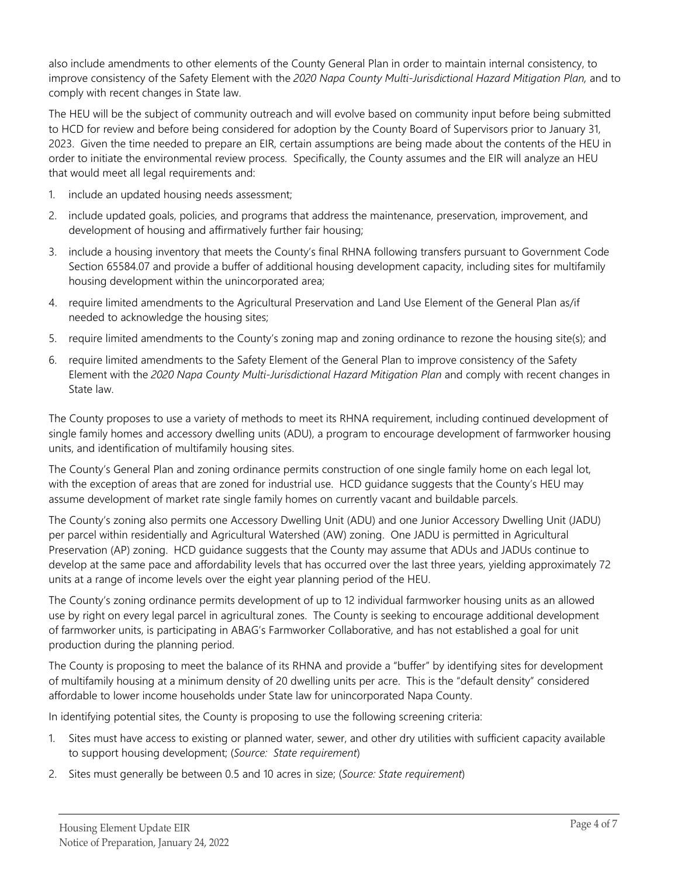also include amendments to other elements of the County General Plan in order to maintain internal consistency, to improve consistency of the Safety Element with the *2020 Napa County Multi-Jurisdictional Hazard Mitigation Plan,* and to comply with recent changes in State law.

The HEU will be the subject of community outreach and will evolve based on community input before being submitted to HCD for review and before being considered for adoption by the County Board of Supervisors prior to January 31, 2023. Given the time needed to prepare an EIR, certain assumptions are being made about the contents of the HEU in order to initiate the environmental review process. Specifically, the County assumes and the EIR will analyze an HEU that would meet all legal requirements and:

- 1. include an updated housing needs assessment;
- 2. include updated goals, policies, and programs that address the maintenance, preservation, improvement, and development of housing and affirmatively further fair housing;
- 3. include a housing inventory that meets the County's final RHNA following transfers pursuant to Government Code Section 65584.07 and provide a buffer of additional housing development capacity, including sites for multifamily housing development within the unincorporated area;
- 4. require limited amendments to the Agricultural Preservation and Land Use Element of the General Plan as/if needed to acknowledge the housing sites;
- 5. require limited amendments to the County's zoning map and zoning ordinance to rezone the housing site(s); and
- 6. require limited amendments to the Safety Element of the General Plan to improve consistency of the Safety Element with the *2020 Napa County Multi-Jurisdictional Hazard Mitigation Plan* and comply with recent changes in State law.

The County proposes to use a variety of methods to meet its RHNA requirement, including continued development of single family homes and accessory dwelling units (ADU), a program to encourage development of farmworker housing units, and identification of multifamily housing sites.

The County's General Plan and zoning ordinance permits construction of one single family home on each legal lot, with the exception of areas that are zoned for industrial use. HCD guidance suggests that the County's HEU may assume development of market rate single family homes on currently vacant and buildable parcels.

The County's zoning also permits one Accessory Dwelling Unit (ADU) and one Junior Accessory Dwelling Unit (JADU) per parcel within residentially and Agricultural Watershed (AW) zoning. One JADU is permitted in Agricultural Preservation (AP) zoning. HCD guidance suggests that the County may assume that ADUs and JADUs continue to develop at the same pace and affordability levels that has occurred over the last three years, yielding approximately 72 units at a range of income levels over the eight year planning period of the HEU.

The County's zoning ordinance permits development of up to 12 individual farmworker housing units as an allowed use by right on every legal parcel in agricultural zones. The County is seeking to encourage additional development of farmworker units, is participating in ABAG's Farmworker Collaborative, and has not established a goal for unit production during the planning period.

The County is proposing to meet the balance of its RHNA and provide a "buffer" by identifying sites for development of multifamily housing at a minimum density of 20 dwelling units per acre. This is the "default density" considered affordable to lower income households under State law for unincorporated Napa County.

In identifying potential sites, the County is proposing to use the following screening criteria:

- 1. Sites must have access to existing or planned water, sewer, and other dry utilities with sufficient capacity available to support housing development; (*Source: State requirement*)
- 2. Sites must generally be between 0.5 and 10 acres in size; (*Source: State requirement*)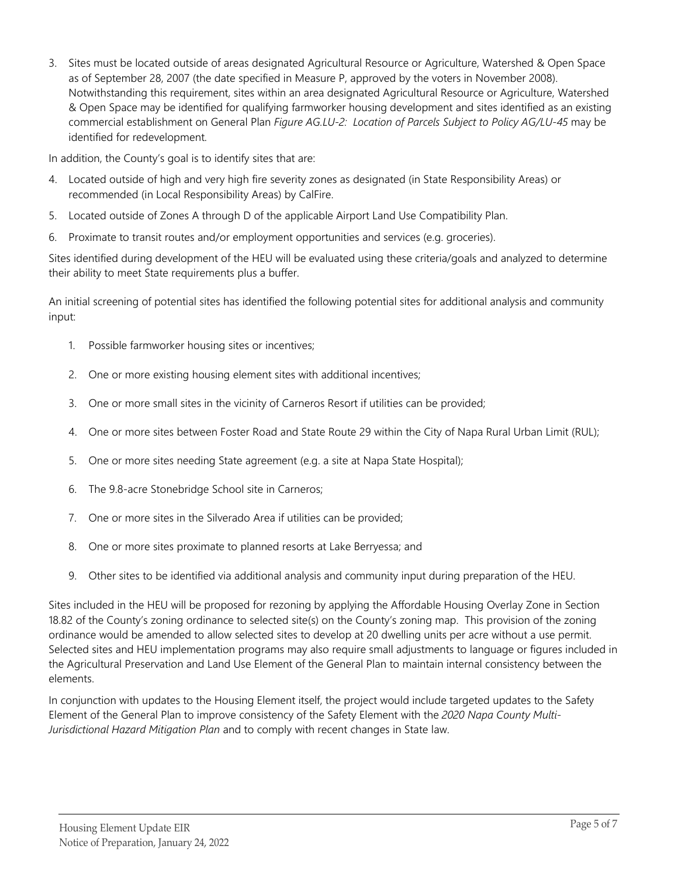3. Sites must be located outside of areas designated Agricultural Resource or Agriculture, Watershed & Open Space as of September 28, 2007 (the date specified in Measure P, approved by the voters in November 2008). Notwithstanding this requirement, sites within an area designated Agricultural Resource or Agriculture, Watershed & Open Space may be identified for qualifying farmworker housing development and sites identified as an existing commercial establishment on General Plan *Figure AG.LU-2: Location of Parcels Subject to Policy AG/LU-45* may be identified for redevelopment.

In addition, the County's goal is to identify sites that are:

- 4. Located outside of high and very high fire severity zones as designated (in State Responsibility Areas) or recommended (in Local Responsibility Areas) by CalFire.
- 5. Located outside of Zones A through D of the applicable Airport Land Use Compatibility Plan.
- 6. Proximate to transit routes and/or employment opportunities and services (e.g. groceries).

Sites identified during development of the HEU will be evaluated using these criteria/goals and analyzed to determine their ability to meet State requirements plus a buffer.

An initial screening of potential sites has identified the following potential sites for additional analysis and community input:

- 1. Possible farmworker housing sites or incentives;
- 2. One or more existing housing element sites with additional incentives;
- 3. One or more small sites in the vicinity of Carneros Resort if utilities can be provided;
- 4. One or more sites between Foster Road and State Route 29 within the City of Napa Rural Urban Limit (RUL);
- 5. One or more sites needing State agreement (e.g. a site at Napa State Hospital);
- 6. The 9.8-acre Stonebridge School site in Carneros;
- 7. One or more sites in the Silverado Area if utilities can be provided;
- 8. One or more sites proximate to planned resorts at Lake Berryessa; and
- 9. Other sites to be identified via additional analysis and community input during preparation of the HEU.

Sites included in the HEU will be proposed for rezoning by applying the Affordable Housing Overlay Zone in Section 18.82 of the County's zoning ordinance to selected site(s) on the County's zoning map. This provision of the zoning ordinance would be amended to allow selected sites to develop at 20 dwelling units per acre without a use permit. Selected sites and HEU implementation programs may also require small adjustments to language or figures included in the Agricultural Preservation and Land Use Element of the General Plan to maintain internal consistency between the elements.

In conjunction with updates to the Housing Element itself, the project would include targeted updates to the Safety Element of the General Plan to improve consistency of the Safety Element with the *2020 Napa County Multi-Jurisdictional Hazard Mitigation Plan* and to comply with recent changes in State law.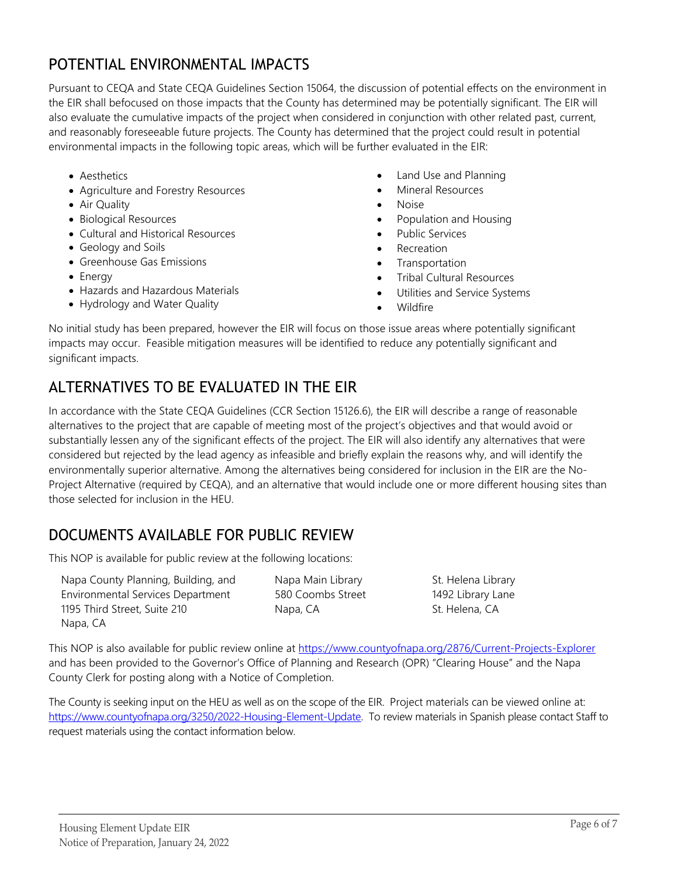### POTENTIAL ENVIRONMENTAL IMPACTS

Pursuant to CEQA and State CEQA Guidelines Section 15064, the discussion of potential effects on the environment in the EIR shall befocused on those impacts that the County has determined may be potentially significant. The EIR will also evaluate the cumulative impacts of the project when considered in conjunction with other related past, current, and reasonably foreseeable future projects. The County has determined that the project could result in potential environmental impacts in the following topic areas, which will be further evaluated in the EIR:

- Aesthetics
- Agriculture and Forestry Resources
- Air Quality
- Biological Resources
- Cultural and Historical Resources
- Geology and Soils
- Greenhouse Gas Emissions
- Energy
- Hazards and Hazardous Materials
- Hydrology and Water Quality
- Land Use and Planning
- Mineral Resources
- Noise
- Population and Housing
- Public Services
- **Recreation**
- Transportation
- Tribal Cultural Resources
- Utilities and Service Systems
- Wildfire

No initial study has been prepared, however the EIR will focus on those issue areas where potentially significant impacts may occur. Feasible mitigation measures will be identified to reduce any potentially significant and significant impacts.

# ALTERNATIVES TO BE EVALUATED IN THE EIR

In accordance with the State CEQA Guidelines (CCR Section 15126.6), the EIR will describe a range of reasonable alternatives to the project that are capable of meeting most of the project's objectives and that would avoid or substantially lessen any of the significant effects of the project. The EIR will also identify any alternatives that were considered but rejected by the lead agency as infeasible and briefly explain the reasons why, and will identify the environmentally superior alternative. Among the alternatives being considered for inclusion in the EIR are the No-Project Alternative (required by CEQA), and an alternative that would include one or more different housing sites than those selected for inclusion in the HEU.

# DOCUMENTS AVAILABLE FOR PUBLIC REVIEW

This NOP is available for public review at the following locations:

Napa County Planning, Building, and Environmental Services Department 1195 Third Street, Suite 210 Napa, CA

Napa Main Library 580 Coombs Street Napa, CA

St. Helena Library 1492 Library Lane St. Helena, CA

This NOP is also available for public review online at <https://www.countyofnapa.org/2876/Current-Projects-Explorer> and has been provided to the Governor's Office of Planning and Research (OPR) "Clearing House" and the Napa County Clerk for posting along with a Notice of Completion.

The County is seeking input on the HEU as well as on the scope of the EIR. Project materials can be viewed online at: [https://www.countyofnapa.org/3250/2022-Housing-Element-Update.](https://www.countyofnapa.org/3250/2022-Housing-Element-Update) To review materials in Spanish please contact Staff to request materials using the contact information below.